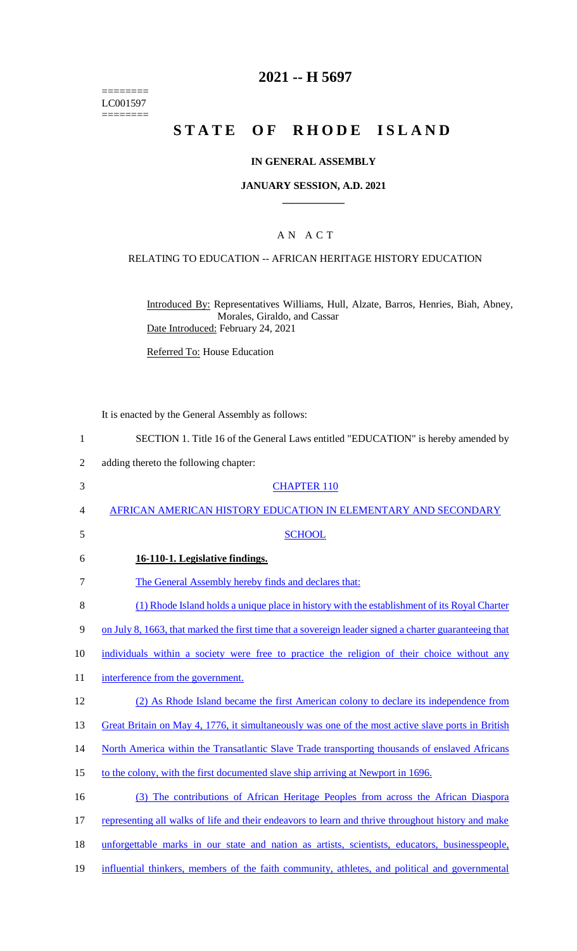======== LC001597 ========

## **2021 -- H 5697**

# **STATE OF RHODE ISLAND**

#### **IN GENERAL ASSEMBLY**

#### **JANUARY SESSION, A.D. 2021 \_\_\_\_\_\_\_\_\_\_\_\_**

### A N A C T

#### RELATING TO EDUCATION -- AFRICAN HERITAGE HISTORY EDUCATION

Introduced By: Representatives Williams, Hull, Alzate, Barros, Henries, Biah, Abney, Morales, Giraldo, and Cassar Date Introduced: February 24, 2021

Referred To: House Education

It is enacted by the General Assembly as follows:

- 1 SECTION 1. Title 16 of the General Laws entitled "EDUCATION" is hereby amended by
- 2 adding thereto the following chapter:
- 3 CHAPTER 110 4 AFRICAN AMERICAN HISTORY EDUCATION IN ELEMENTARY AND SECONDARY 5 SCHOOL 6 **16-110-1. Legislative findings.**  7 The General Assembly hereby finds and declares that: 8 (1) Rhode Island holds a unique place in history with the establishment of its Royal Charter 9 on July 8, 1663, that marked the first time that a sovereign leader signed a charter guaranteeing that 10 individuals within a society were free to practice the religion of their choice without any 11 interference from the government. 12 (2) As Rhode Island became the first American colony to declare its independence from 13 Great Britain on May 4, 1776, it simultaneously was one of the most active slave ports in British 14 North America within the Transatlantic Slave Trade transporting thousands of enslaved Africans 15 to the colony, with the first documented slave ship arriving at Newport in 1696. 16 (3) The contributions of African Heritage Peoples from across the African Diaspora 17 representing all walks of life and their endeavors to learn and thrive throughout history and make 18 unforgettable marks in our state and nation as artists, scientists, educators, businesspeople, 19 influential thinkers, members of the faith community, athletes, and political and governmental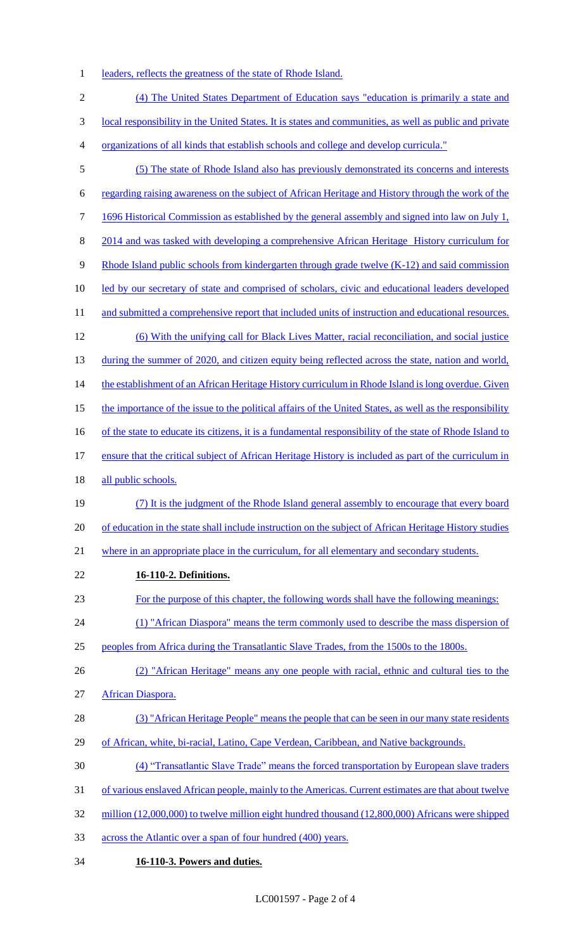- 1 leaders, reflects the greatness of the state of Rhode Island.
- (4) The United States Department of Education says "education is primarily a state and local responsibility in the United States. It is states and communities, as well as public and private organizations of all kinds that establish schools and college and develop curricula." (5) The state of Rhode Island also has previously demonstrated its concerns and interests regarding raising awareness on the subject of African Heritage and History through the work of the 7 1696 Historical Commission as established by the general assembly and signed into law on July 1, 2014 and was tasked with developing a comprehensive African Heritage History curriculum for 9 Rhode Island public schools from kindergarten through grade twelve (K-12) and said commission 10 led by our secretary of state and comprised of scholars, civic and educational leaders developed 11 and submitted a comprehensive report that included units of instruction and educational resources. (6) With the unifying call for Black Lives Matter, racial reconciliation, and social justice 13 during the summer of 2020, and citizen equity being reflected across the state, nation and world, 14 the establishment of an African Heritage History curriculum in Rhode Island is long overdue. Given 15 the importance of the issue to the political affairs of the United States, as well as the responsibility 16 of the state to educate its citizens, it is a fundamental responsibility of the state of Rhode Island to ensure that the critical subject of African Heritage History is included as part of the curriculum in 18 all public schools. (7) It is the judgment of the Rhode Island general assembly to encourage that every board 20 of education in the state shall include instruction on the subject of African Heritage History studies where in an appropriate place in the curriculum, for all elementary and secondary students. **16-110-2. Definitions.**  For the purpose of this chapter, the following words shall have the following meanings: 24 (1) "African Diaspora" means the term commonly used to describe the mass dispersion of peoples from Africa during the Transatlantic Slave Trades, from the 1500s to the 1800s. (2) "African Heritage" means any one people with racial, ethnic and cultural ties to the African Diaspora. (3) "African Heritage People" means the people that can be seen in our many state residents of African, white, bi-racial, Latino, Cape Verdean, Caribbean, and Native backgrounds. (4) "Transatlantic Slave Trade" means the forced transportation by European slave traders of various enslaved African people, mainly to the Americas. Current estimates are that about twelve million (12,000,000) to twelve million eight hundred thousand (12,800,000) Africans were shipped across the Atlantic over a span of four hundred (400) years.
- **16-110-3. Powers and duties.**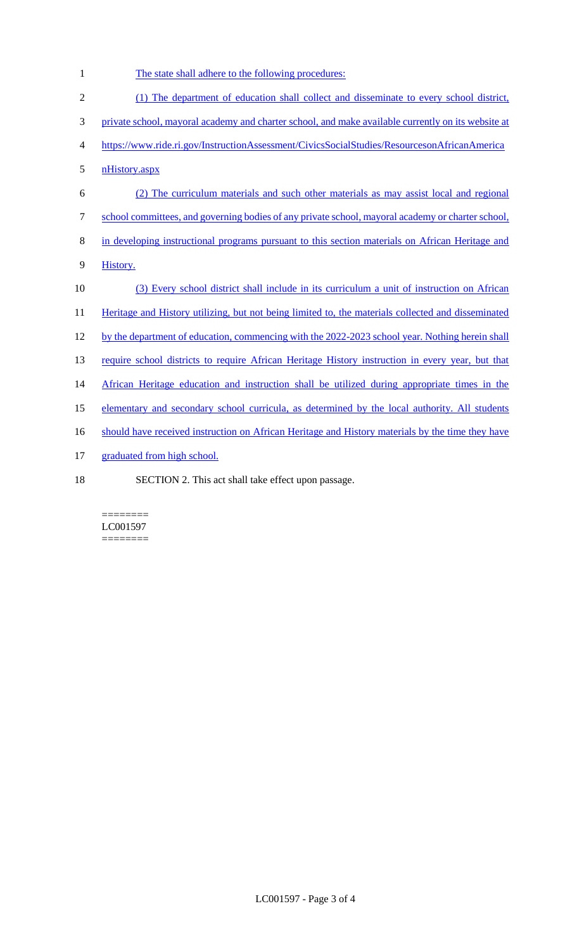1 The state shall adhere to the following procedures:

| $\sqrt{2}$ | (1) The department of education shall collect and disseminate to every school district,            |
|------------|----------------------------------------------------------------------------------------------------|
| 3          | private school, mayoral academy and charter school, and make available currently on its website at |
| 4          | https://www.ride.ri.gov/InstructionAssessment/CivicsSocialStudies/ResourcesonAfricanAmerica        |
| 5          | nHistory.aspx                                                                                      |
| 6          | (2) The curriculum materials and such other materials as may assist local and regional             |
| $\tau$     | school committees, and governing bodies of any private school, mayoral academy or charter school,  |
| $\, 8$     | in developing instructional programs pursuant to this section materials on African Heritage and    |
| 9          | History.                                                                                           |
| 10         | (3) Every school district shall include in its curriculum a unit of instruction on African         |
| 11         | Heritage and History utilizing, but not being limited to, the materials collected and disseminated |
| 12         | by the department of education, commencing with the 2022-2023 school year. Nothing herein shall    |
| 13         | require school districts to require African Heritage History instruction in every year, but that   |
| 14         | African Heritage education and instruction shall be utilized during appropriate times in the       |
| 15         | elementary and secondary school curricula, as determined by the local authority. All students      |
| 16         | should have received instruction on African Heritage and History materials by the time they have   |
| 17         | graduated from high school.                                                                        |
| 18         | SECTION 2. This act shall take effect upon passage.                                                |

 $\equiv\equiv\equiv\equiv\equiv\equiv\equiv\equiv$ LC001597 ========